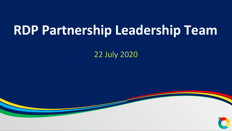# **RDP Partnership Leadership Team**

22 July 2020

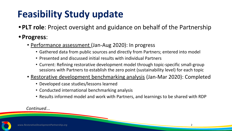## **Feasibility Study update**

**• PLT role**: Project oversight and guidance on behalf of the Partnership

#### **• Progress**:

- Performance assessment (Jan-Aug 2020): In progress
	- Gathered data from public sources and directly from Partners; entered into model
	- Presented and discussed initial results with individual Partners
	- Current: Refining restorative development model through topic-specific small-group sessions with Partners to establish the zero point (sustainability level) for each topic
- Restorative development benchmarking analysis (Jan-Mar 2020): Completed
	- Developed case studies/lessons learned
	- Conducted international benchmarking analysis
	- Results informed model and work with Partners, and learnings to be shared with RDP

#### *Continued*...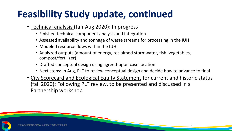## **Feasibility Study update, continued**

- Technical analysis (Jan-Aug 2020): In progress
	- Finished technical component analysis and integration
	- Assessed availability and tonnage of waste streams for processing in the IUH
	- Modeled resource flows within the IUH
	- Analyzed outputs (amount of energy, reclaimed stormwater, fish, vegetables, compost/fertilizer)
	- Drafted conceptual design using agreed-upon case location
	- Next steps: In Aug, PLT to review conceptual design and decide how to advance to final
- City Scorecard and Ecological Equity Statement for current and historic status (fall 2020): Following PLT review, to be presented and discussed in a Partnership workshop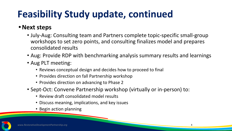## **Feasibility Study update, continued**

#### **•Next steps**

- July-Aug: Consulting team and Partners complete topic-specific small-group workshops to set zero points, and consulting finalizes model and prepares consolidated results
- Aug: Provide RDP with benchmarking analysis summary results and learnings
- Aug PLT meeting:
	- Reviews conceptual design and decides how to proceed to final
	- Provides direction on fall Partnership workshop
	- Provides direction on advancing to Phase 2
- Sept-Oct: Convene Partnership workshop (virtually or in-person) to:
	- Review draft consolidated model results
	- Discuss meaning, implications, and key issues
	- Begin action planning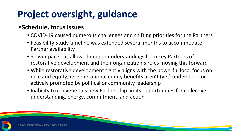## **Project oversight, guidance**

#### **• Schedule, focus issues**

- COVID-19 caused numerous challenges and shifting priorities for the Partners
- Feasibility Study timeline was extended several months to accommodate Partner availability
- Slower pace has allowed deeper understandings from key Partners of restorative development and their organization's roles moving this forward
- While restorative development tightly aligns with the powerful local focus on race and equity, its generational equity benefits aren't (yet) understood or actively promoted by political or community leadership
- Inability to convene this new Partnership limits opportunities for collective understanding, energy, commitment, and action